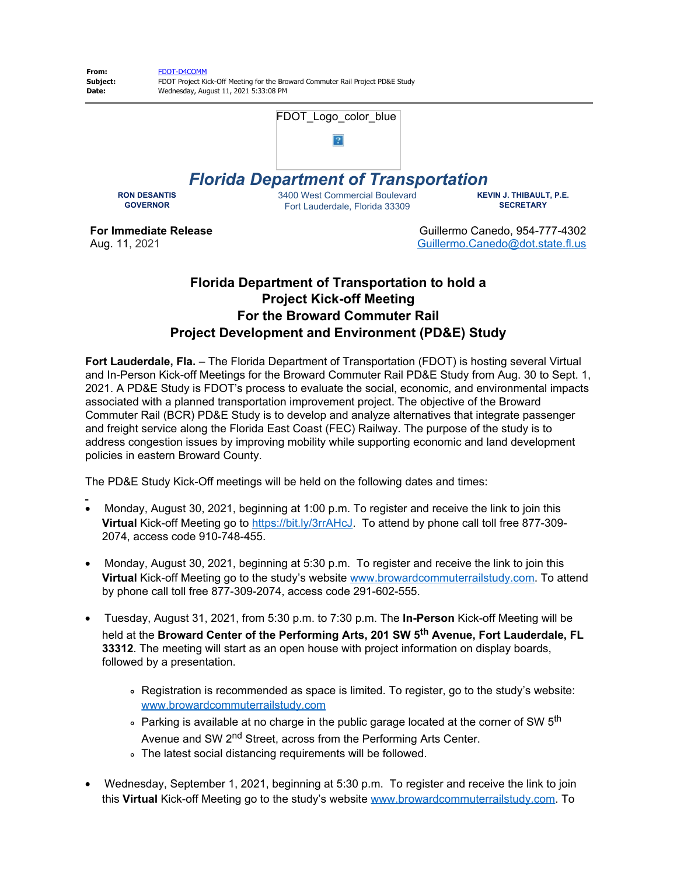

## **Florida Department of Transportation to hold a Project Kick-off Meeting For the Broward Commuter Rail Project Development and Environment (PD&E) Study**

**Fort Lauderdale, Fla.** – The Florida Department of Transportation (FDOT) is hosting several Virtual and In-Person Kick-off Meetings for the Broward Commuter Rail PD&E Study from Aug. 30 to Sept. 1, 2021. A PD&E Study is FDOT's process to evaluate the social, economic, and environmental impacts associated with a planned transportation improvement project. The objective of the Broward Commuter Rail (BCR) PD&E Study is to develop and analyze alternatives that integrate passenger and freight service along the Florida East Coast (FEC) Railway. The purpose of the study is to address congestion issues by improving mobility while supporting economic and land development policies in eastern Broward County.

The PD&E Study Kick-Off meetings will be held on the following dates and times:

- · Monday, August 30, 2021, beginning at 1:00 p.m. To register and receive the link to join this **Virtual** Kick-off Meeting go to [https://bit.ly/3rrAHcJ](https://gcc02.safelinks.protection.outlook.com/?url=https%3A%2F%2Fbit.ly%2F3rrAHcJ&data=04%7C01%7CGuillermo.Canedo%40dot.state.fl.us%7C875ca0fdb0da44df7f2b08d95d0f9bec%7Cdb21de5dbc9c420c8f3f8f08f85b5ada%7C0%7C0%7C637643143887107350%7CUnknown%7CTWFpbGZsb3d8eyJWIjoiMC4wLjAwMDAiLCJQIjoiV2luMzIiLCJBTiI6Ik1haWwiLCJXVCI6Mn0%3D%7C1000&sdata=VH8Tv42deeAk7dB16T6AYan3vUymoQD3Fn0iMt1HiVc%3D&reserved=0). To attend by phone call toll free 877-309- 2074, access code 910-748-455.
- · Monday, August 30, 2021, beginning at 5:30 p.m. To register and receive the link to join this **Virtual** Kick-off Meeting go to the study's website [www.browardcommuterrailstudy.com](https://gcc02.safelinks.protection.outlook.com/?url=http%3A%2F%2Fwww.browardcommuterrailstudy.com%2F&data=04%7C01%7CGuillermo.Canedo%40dot.state.fl.us%7C875ca0fdb0da44df7f2b08d95d0f9bec%7Cdb21de5dbc9c420c8f3f8f08f85b5ada%7C0%7C0%7C637643143887117305%7CUnknown%7CTWFpbGZsb3d8eyJWIjoiMC4wLjAwMDAiLCJQIjoiV2luMzIiLCJBTiI6Ik1haWwiLCJXVCI6Mn0%3D%7C1000&sdata=yohUYG4qDlCTbcTYD40EdZtBgMkJ2eHzlhhsxeTNFXo%3D&reserved=0). To attend by phone call toll free 877-309-2074, access code 291-602-555.
- · Tuesday, August 31, 2021, from 5:30 p.m. to 7:30 p.m. The **In-Person** Kick-off Meeting will be held at the **Broward Center of the Performing Arts, 201 SW 5th Avenue, Fort Lauderdale, FL 33312**. The meeting will start as an open house with project information on display boards, followed by a presentation.
	- Registration is recommended as space is limited. To register, go to the study's website: [www.browardcommuterrailstudy.com](https://gcc02.safelinks.protection.outlook.com/?url=http%3A%2F%2Fwww.browardcommuterrailstudy.com%2F&data=04%7C01%7CGuillermo.Canedo%40dot.state.fl.us%7C875ca0fdb0da44df7f2b08d95d0f9bec%7Cdb21de5dbc9c420c8f3f8f08f85b5ada%7C0%7C0%7C637643143887117305%7CUnknown%7CTWFpbGZsb3d8eyJWIjoiMC4wLjAwMDAiLCJQIjoiV2luMzIiLCJBTiI6Ik1haWwiLCJXVCI6Mn0%3D%7C1000&sdata=yohUYG4qDlCTbcTYD40EdZtBgMkJ2eHzlhhsxeTNFXo%3D&reserved=0)
	- $\degree$  Parking is available at no charge in the public garage located at the corner of SW 5<sup>th</sup> Avenue and SW 2<sup>nd</sup> Street, across from the Performing Arts Center.
	- The latest social distancing requirements will be followed.
- · Wednesday, September 1, 2021, beginning at 5:30 p.m. To register and receive the link to join this **Virtual** Kick-off Meeting go to the study's website [www.browardcommuterrailstudy.com](https://gcc02.safelinks.protection.outlook.com/?url=http%3A%2F%2Fwww.browardcommuterrailstudy.com%2F&data=04%7C01%7CGuillermo.Canedo%40dot.state.fl.us%7C875ca0fdb0da44df7f2b08d95d0f9bec%7Cdb21de5dbc9c420c8f3f8f08f85b5ada%7C0%7C0%7C637643143887127258%7CUnknown%7CTWFpbGZsb3d8eyJWIjoiMC4wLjAwMDAiLCJQIjoiV2luMzIiLCJBTiI6Ik1haWwiLCJXVCI6Mn0%3D%7C1000&sdata=IHrBvc9Dt1tyD7pmiQvklK2GCG3OSDFywPwnDegdtYk%3D&reserved=0). To